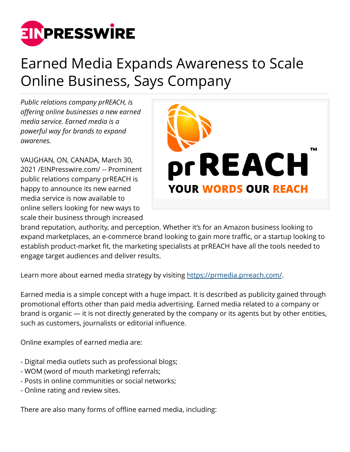

## Earned Media Expands Awareness to Scale Online Business, Says Company

*Public relations company prREACH, is offering online businesses a new earned media service. Earned media is a powerful way for brands to expand awarenes.*

VAUGHAN, ON, CANADA, March 30, 2021 /[EINPresswire.com](http://www.einpresswire.com)/ -- Prominent public relations company prREACH is happy to announce its new earned media service is now available to online sellers looking for new ways to scale their business through increased



brand reputation, authority, and perception. Whether it's for an Amazon business looking to expand marketplaces, an e-commerce brand looking to gain more traffic, or a startup looking to establish product-market fit, the marketing specialists at prREACH have all the tools needed to engage target audiences and deliver results.

Learn more about earned media strategy by visiting<https://prmedia.prreach.com/>.

Earned media is a simple concept with a huge impact. It is described as publicity gained through promotional efforts other than paid media advertising. Earned media related to a company or brand is organic — it is not directly generated by the company or its agents but by other entities, such as customers, journalists or editorial influence.

Online examples of earned media are:

- Digital media outlets such as professional blogs;
- WOM (word of mouth marketing) referrals;
- Posts in online communities or social networks;
- Online rating and review sites.

There are also many forms of offline earned media, including: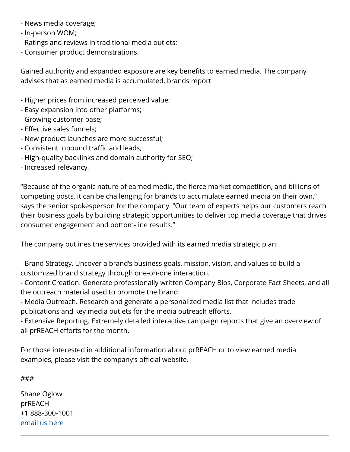- News media coverage;
- In-person WOM;
- Ratings and reviews in traditional media outlets;
- Consumer product demonstrations.

Gained authority and expanded exposure are key benefits to earned media. The company advises that as earned media is accumulated, brands report

- Higher prices from increased perceived value;
- Easy expansion into other platforms;
- Growing customer base;
- Effective sales funnels;
- New product launches are more successful;
- Consistent inbound traffic and leads;
- High-quality backlinks and domain authority for SEO;
- Increased relevancy.

"Because of the organic nature of earned media, the fierce market competition, and billions of competing posts, it can be challenging for brands to accumulate earned media on their own," says the senior spokesperson for the company. "Our team of experts helps our customers reach their business goals by building strategic opportunities to deliver top media coverage that drives consumer engagement and bottom-line results."

The company outlines the services provided with its earned media strategic plan:

- Brand Strategy. Uncover a brand's business goals, mission, vision, and values to build a customized brand strategy through one-on-one interaction.

- Content Creation. Generate professionally written Company Bios, Corporate Fact Sheets, and all the outreach material used to promote the brand.

- Media Outreach. Research and generate a personalized media list that includes trade publications and key media outlets for the media outreach efforts.

- Extensive Reporting. Extremely detailed interactive campaign reports that give an overview of all prREACH efforts for the month.

For those interested in additional information about prREACH or to view earned media examples, please visit the company's official website.

###

Shane Oglow prREACH +1 888-300-1001 [email us here](http://www.einpresswire.com/contact_author/3061929)